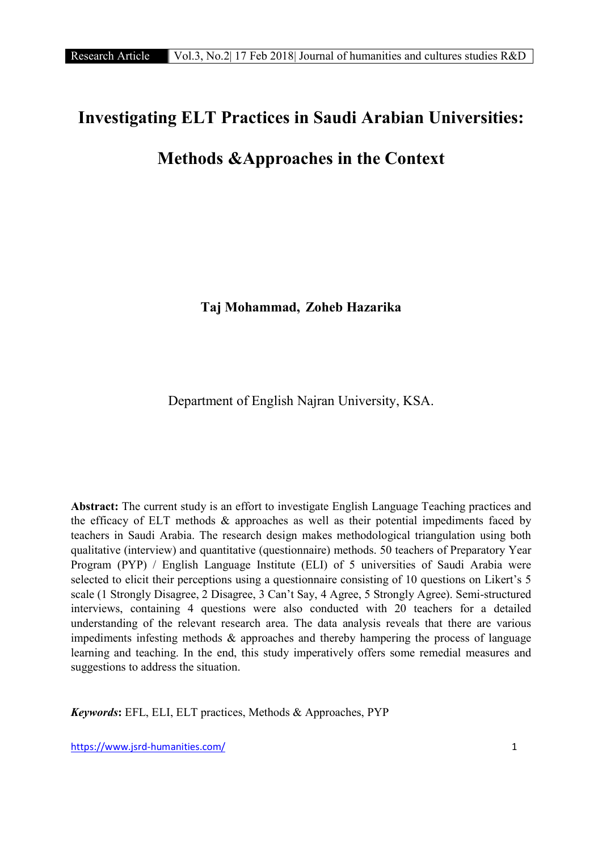# Investigating ELT Practices in Saudi Arabian Universities:

# Methods &Approaches in the Context

Taj Mohammad, Zoheb Hazarika

Department of English Najran University, KSA.

Abstract: The current study is an effort to investigate English Language Teaching practices and the efficacy of ELT methods  $\&$  approaches as well as their potential impediments faced by teachers in Saudi Arabia. The research design makes methodological triangulation using both qualitative (interview) and quantitative (questionnaire) methods. 50 teachers of Preparatory Year Program (PYP) / English Language Institute (ELI) of 5 universities of Saudi Arabia were selected to elicit their perceptions using a questionnaire consisting of 10 questions on Likert's 5 scale (1 Strongly Disagree, 2 Disagree, 3 Can't Say, 4 Agree, 5 Strongly Agree). Semi-structured interviews, containing 4 questions were also conducted with 20 teachers for a detailed understanding of the relevant research area. The data analysis reveals that there are various impediments infesting methods & approaches and thereby hampering the process of language learning and teaching. In the end, this study imperatively offers some remedial measures and suggestions to address the situation.

*Keywords*: EFL, ELI, ELT practices, Methods & Approaches, PYP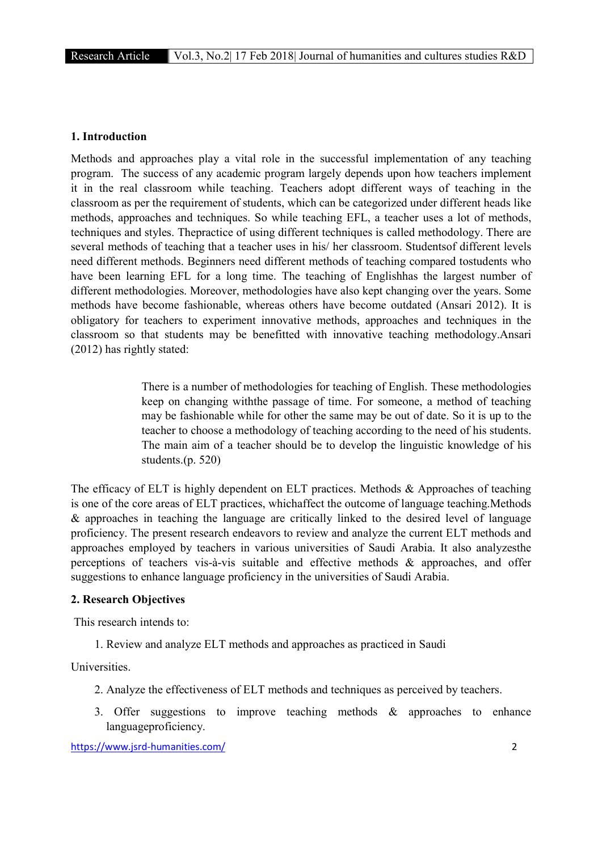#### 1. Introduction

Methods and approaches play a vital role in the successful implementation of any teaching program. The success of any academic program largely depends upon how teachers implement it in the real classroom while teaching. Teachers adopt different ways of teaching in the classroom as per the requirement of students, which can be categorized under different heads like methods, approaches and techniques. So while teaching EFL, a teacher uses a lot of methods, techniques and styles. Thepractice of using different techniques is called methodology. There are several methods of teaching that a teacher uses in his/ her classroom. Studentsof different levels need different methods. Beginners need different methods of teaching compared tostudents who have been learning EFL for a long time. The teaching of Englishhas the largest number of different methodologies. Moreover, methodologies have also kept changing over the years. Some methods have become fashionable, whereas others have become outdated (Ansari 2012). It is obligatory for teachers to experiment innovative methods, approaches and techniques in the classroom so that students may be benefitted with innovative teaching methodology.Ansari (2012) has rightly stated:

> There is a number of methodologies for teaching of English. These methodologies keep on changing withthe passage of time. For someone, a method of teaching may be fashionable while for other the same may be out of date. So it is up to the teacher to choose a methodology of teaching according to the need of his students. The main aim of a teacher should be to develop the linguistic knowledge of his students.(p. 520)

The efficacy of ELT is highly dependent on ELT practices. Methods & Approaches of teaching is one of the core areas of ELT practices, whichaffect the outcome of language teaching.Methods & approaches in teaching the language are critically linked to the desired level of language proficiency. The present research endeavors to review and analyze the current ELT methods and approaches employed by teachers in various universities of Saudi Arabia. It also analyzesthe perceptions of teachers vis-à-vis suitable and effective methods & approaches, and offer suggestions to enhance language proficiency in the universities of Saudi Arabia.

#### 2. Research Objectives

This research intends to:

1. Review and analyze ELT methods and approaches as practiced in Saudi

**Universities** 

- 2. Analyze the effectiveness of ELT methods and techniques as perceived by teachers.
- 3. Offer suggestions to improve teaching methods & approaches to enhance languageproficiency.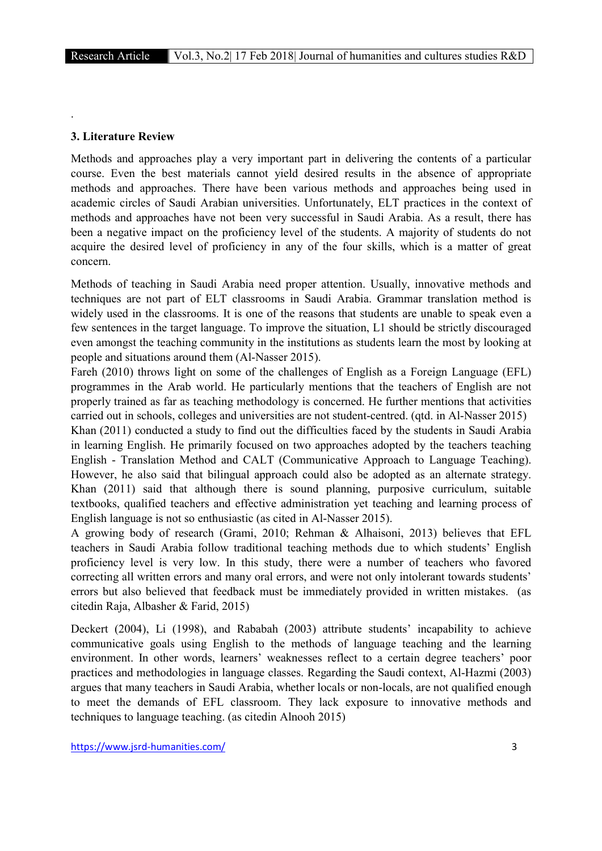.

#### 3. Literature Review

Methods and approaches play a very important part in delivering the contents of a particular course. Even the best materials cannot yield desired results in the absence of appropriate methods and approaches. There have been various methods and approaches being used in academic circles of Saudi Arabian universities. Unfortunately, ELT practices in the context of methods and approaches have not been very successful in Saudi Arabia. As a result, there has been a negative impact on the proficiency level of the students. A majority of students do not acquire the desired level of proficiency in any of the four skills, which is a matter of great concern.

Methods of teaching in Saudi Arabia need proper attention. Usually, innovative methods and techniques are not part of ELT classrooms in Saudi Arabia. Grammar translation method is widely used in the classrooms. It is one of the reasons that students are unable to speak even a few sentences in the target language. To improve the situation, L1 should be strictly discouraged even amongst the teaching community in the institutions as students learn the most by looking at people and situations around them (Al-Nasser 2015).

Fareh (2010) throws light on some of the challenges of English as a Foreign Language (EFL) programmes in the Arab world. He particularly mentions that the teachers of English are not properly trained as far as teaching methodology is concerned. He further mentions that activities carried out in schools, colleges and universities are not student-centred. (qtd. in Al-Nasser 2015)

Khan (2011) conducted a study to find out the difficulties faced by the students in Saudi Arabia in learning English. He primarily focused on two approaches adopted by the teachers teaching English - Translation Method and CALT (Communicative Approach to Language Teaching). However, he also said that bilingual approach could also be adopted as an alternate strategy. Khan (2011) said that although there is sound planning, purposive curriculum, suitable textbooks, qualified teachers and effective administration yet teaching and learning process of English language is not so enthusiastic (as cited in Al-Nasser 2015).

A growing body of research (Grami, 2010; Rehman & Alhaisoni, 2013) believes that EFL teachers in Saudi Arabia follow traditional teaching methods due to which students' English proficiency level is very low. In this study, there were a number of teachers who favored correcting all written errors and many oral errors, and were not only intolerant towards students' errors but also believed that feedback must be immediately provided in written mistakes. (as citedin Raja, Albasher & Farid, 2015)

Deckert (2004), Li (1998), and Rababah (2003) attribute students' incapability to achieve communicative goals using English to the methods of language teaching and the learning environment. In other words, learners' weaknesses reflect to a certain degree teachers' poor practices and methodologies in language classes. Regarding the Saudi context, Al-Hazmi (2003) argues that many teachers in Saudi Arabia, whether locals or non-locals, are not qualified enough to meet the demands of EFL classroom. They lack exposure to innovative methods and techniques to language teaching. (as citedin Alnooh 2015)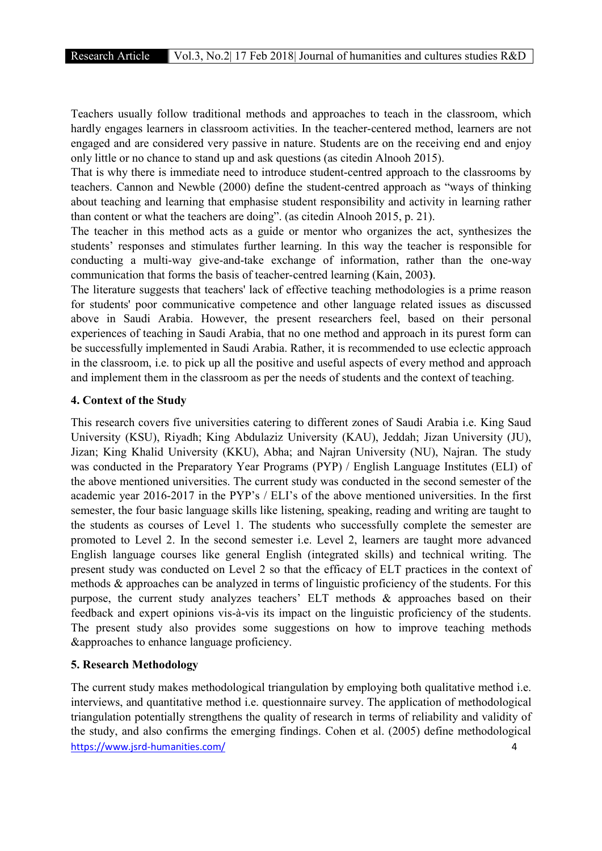Teachers usually follow traditional methods and approaches to teach in the classroom, which hardly engages learners in classroom activities. In the teacher-centered method, learners are not engaged and are considered very passive in nature. Students are on the receiving end and enjoy only little or no chance to stand up and ask questions (as citedin Alnooh 2015).

That is why there is immediate need to introduce student-centred approach to the classrooms by teachers. Cannon and Newble (2000) define the student-centred approach as "ways of thinking about teaching and learning that emphasise student responsibility and activity in learning rather than content or what the teachers are doing". (as citedin Alnooh 2015, p. 21).

The teacher in this method acts as a guide or mentor who organizes the act, synthesizes the students' responses and stimulates further learning. In this way the teacher is responsible for conducting a multi-way give-and-take exchange of information, rather than the one-way communication that forms the basis of teacher-centred learning (Kain, 2003).

The literature suggests that teachers' lack of effective teaching methodologies is a prime reason for students' poor communicative competence and other language related issues as discussed above in Saudi Arabia. However, the present researchers feel, based on their personal experiences of teaching in Saudi Arabia, that no one method and approach in its purest form can be successfully implemented in Saudi Arabia. Rather, it is recommended to use eclectic approach in the classroom, i.e. to pick up all the positive and useful aspects of every method and approach and implement them in the classroom as per the needs of students and the context of teaching.

#### 4. Context of the Study

This research covers five universities catering to different zones of Saudi Arabia i.e. King Saud University (KSU), Riyadh; King Abdulaziz University (KAU), Jeddah; Jizan University (JU), Jizan; King Khalid University (KKU), Abha; and Najran University (NU), Najran. The study was conducted in the Preparatory Year Programs (PYP) / English Language Institutes (ELI) of the above mentioned universities. The current study was conducted in the second semester of the academic year 2016-2017 in the PYP's / ELI's of the above mentioned universities. In the first semester, the four basic language skills like listening, speaking, reading and writing are taught to the students as courses of Level 1. The students who successfully complete the semester are promoted to Level 2. In the second semester i.e. Level 2, learners are taught more advanced English language courses like general English (integrated skills) and technical writing. The present study was conducted on Level 2 so that the efficacy of ELT practices in the context of methods & approaches can be analyzed in terms of linguistic proficiency of the students. For this purpose, the current study analyzes teachers' ELT methods & approaches based on their feedback and expert opinions vis-à-vis its impact on the linguistic proficiency of the students. The present study also provides some suggestions on how to improve teaching methods &approaches to enhance language proficiency.

## 5. Research Methodology

https://www.jsrd-humanities.com/ 4 The current study makes methodological triangulation by employing both qualitative method i.e. interviews, and quantitative method i.e. questionnaire survey. The application of methodological triangulation potentially strengthens the quality of research in terms of reliability and validity of the study, and also confirms the emerging findings. Cohen et al. (2005) define methodological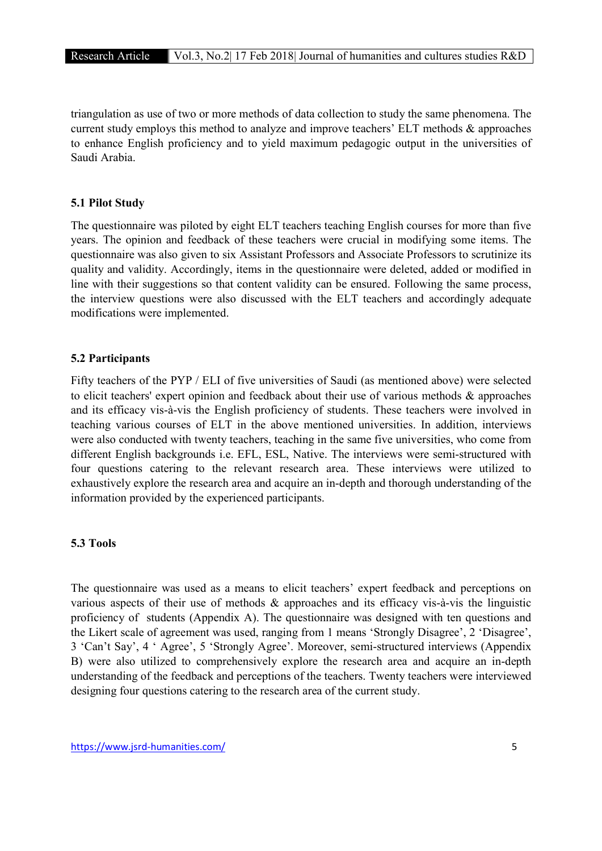triangulation as use of two or more methods of data collection to study the same phenomena. The current study employs this method to analyze and improve teachers' ELT methods & approaches to enhance English proficiency and to yield maximum pedagogic output in the universities of Saudi Arabia.

# 5.1 Pilot Study

The questionnaire was piloted by eight ELT teachers teaching English courses for more than five years. The opinion and feedback of these teachers were crucial in modifying some items. The questionnaire was also given to six Assistant Professors and Associate Professors to scrutinize its quality and validity. Accordingly, items in the questionnaire were deleted, added or modified in line with their suggestions so that content validity can be ensured. Following the same process, the interview questions were also discussed with the ELT teachers and accordingly adequate modifications were implemented.

# 5.2 Participants

Fifty teachers of the PYP / ELI of five universities of Saudi (as mentioned above) were selected to elicit teachers' expert opinion and feedback about their use of various methods & approaches and its efficacy vis-à-vis the English proficiency of students. These teachers were involved in teaching various courses of ELT in the above mentioned universities. In addition, interviews were also conducted with twenty teachers, teaching in the same five universities, who come from different English backgrounds i.e. EFL, ESL, Native. The interviews were semi-structured with four questions catering to the relevant research area. These interviews were utilized to exhaustively explore the research area and acquire an in-depth and thorough understanding of the information provided by the experienced participants.

#### 5.3 Tools

The questionnaire was used as a means to elicit teachers' expert feedback and perceptions on various aspects of their use of methods & approaches and its efficacy vis-à-vis the linguistic proficiency of students (Appendix A). The questionnaire was designed with ten questions and the Likert scale of agreement was used, ranging from 1 means 'Strongly Disagree', 2 'Disagree', 3 'Can't Say', 4 ' Agree', 5 'Strongly Agree'. Moreover, semi-structured interviews (Appendix B) were also utilized to comprehensively explore the research area and acquire an in-depth understanding of the feedback and perceptions of the teachers. Twenty teachers were interviewed designing four questions catering to the research area of the current study.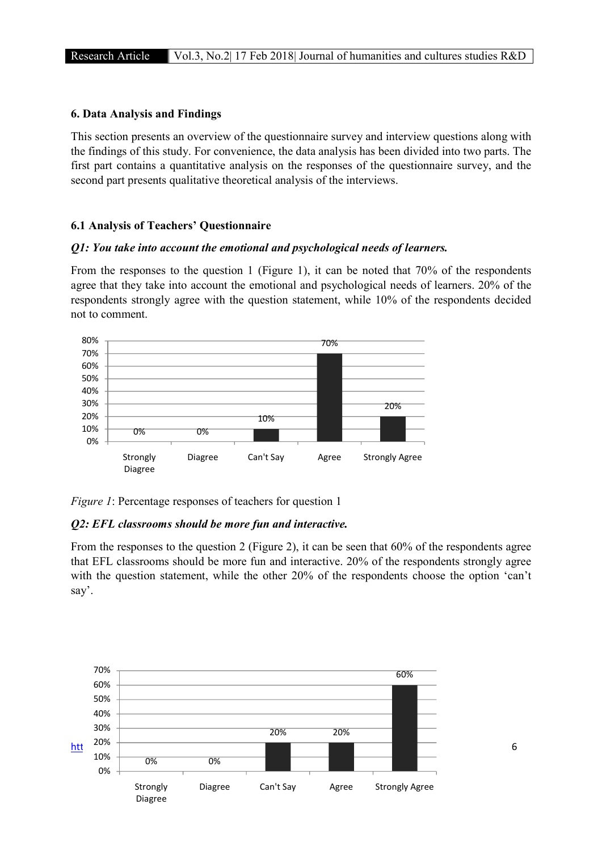# 6. Data Analysis and Findings

This section presents an overview of the questionnaire survey and interview questions along with the findings of this study. For convenience, the data analysis has been divided into two parts. The first part contains a quantitative analysis on the responses of the questionnaire survey, and the second part presents qualitative theoretical analysis of the interviews.

## 6.1 Analysis of Teachers' Questionnaire

#### *Q1: You take into account the emotional and psychological needs of learners.*

From the responses to the question 1 (Figure 1), it can be noted that 70% of the respondents agree that they take into account the emotional and psychological needs of learners. 20% of the respondents strongly agree with the question statement, while 10% of the respondents decided not to comment.



*Figure 1*: Percentage responses of teachers for question 1

## *Q2: EFL classrooms should be more fun and interactive.*

From the responses to the question 2 (Figure 2), it can be seen that 60% of the respondents agree that EFL classrooms should be more fun and interactive. 20% of the respondents strongly agree with the question statement, while the other 20% of the respondents choose the option 'can't say'.

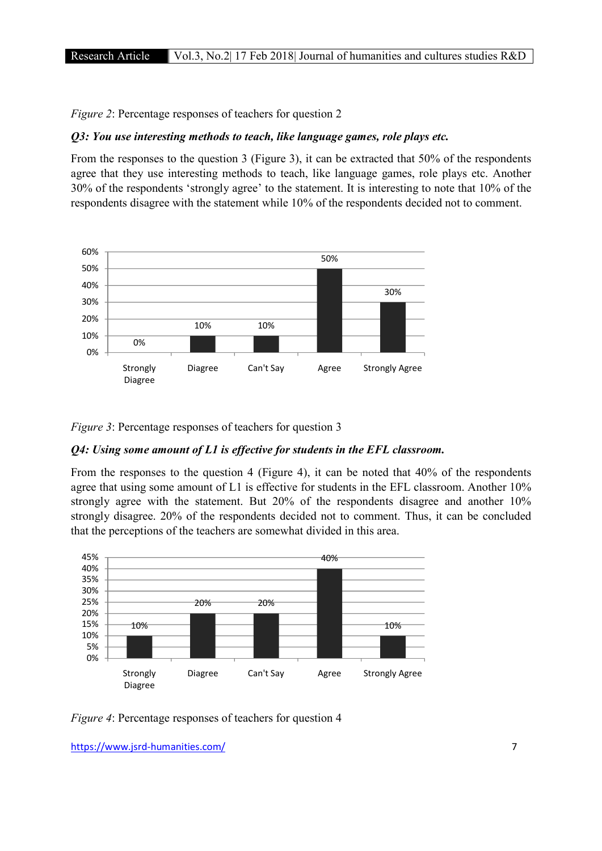*Figure 2*: Percentage responses of teachers for question 2

# *Q3: You use interesting methods to teach, like language games, role plays etc.*

From the responses to the question 3 (Figure 3), it can be extracted that 50% of the respondents agree that they use interesting methods to teach, like language games, role plays etc. Another 30% of the respondents 'strongly agree' to the statement. It is interesting to note that 10% of the respondents disagree with the statement while 10% of the respondents decided not to comment.



*Figure 3*: Percentage responses of teachers for question 3

## *Q4: Using some amount of L1 is effective for students in the EFL classroom.*

From the responses to the question 4 (Figure 4), it can be noted that 40% of the respondents agree that using some amount of L1 is effective for students in the EFL classroom. Another 10% strongly agree with the statement. But 20% of the respondents disagree and another 10% strongly disagree. 20% of the respondents decided not to comment. Thus, it can be concluded that the perceptions of the teachers are somewhat divided in this area.



*Figure 4*: Percentage responses of teachers for question 4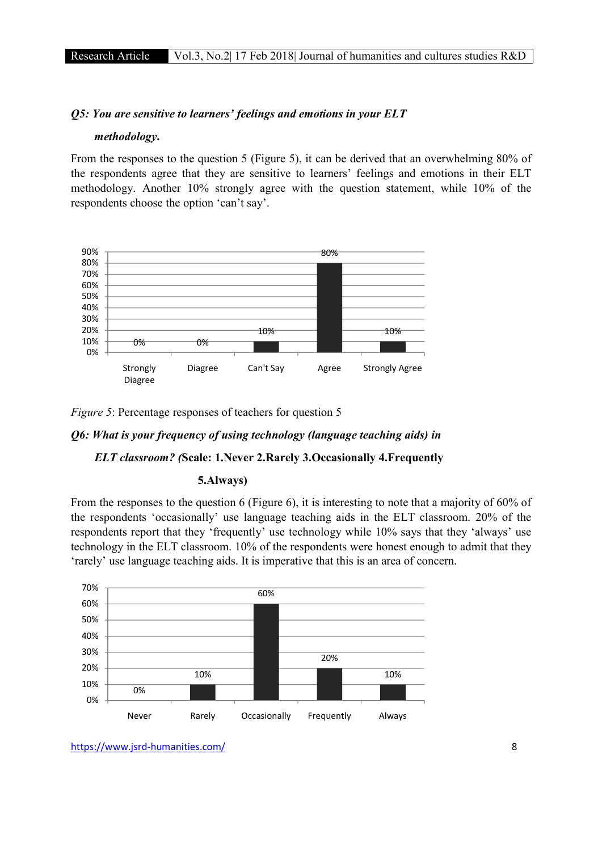## *Q5: You are sensitive to learners' feelings and emotions in your ELT*

#### *methodology*.

From the responses to the question 5 (Figure 5), it can be derived that an overwhelming 80% of the respondents agree that they are sensitive to learners' feelings and emotions in their ELT methodology. Another 10% strongly agree with the question statement, while 10% of the respondents choose the option 'can't say'.



*Figure 5*: Percentage responses of teachers for question 5

# *Q6: What is your frequency of using technology (language teaching aids) in*

#### *ELT classroom? (*Scale: 1.Never 2.Rarely 3.Occasionally 4.Frequently

## 5.Always)

From the responses to the question 6 (Figure 6), it is interesting to note that a majority of 60% of the respondents 'occasionally' use language teaching aids in the ELT classroom. 20% of the respondents report that they 'frequently' use technology while 10% says that they 'always' use technology in the ELT classroom. 10% of the respondents were honest enough to admit that they 'rarely' use language teaching aids. It is imperative that this is an area of concern.



https://www.jsrd-humanities.com/ 8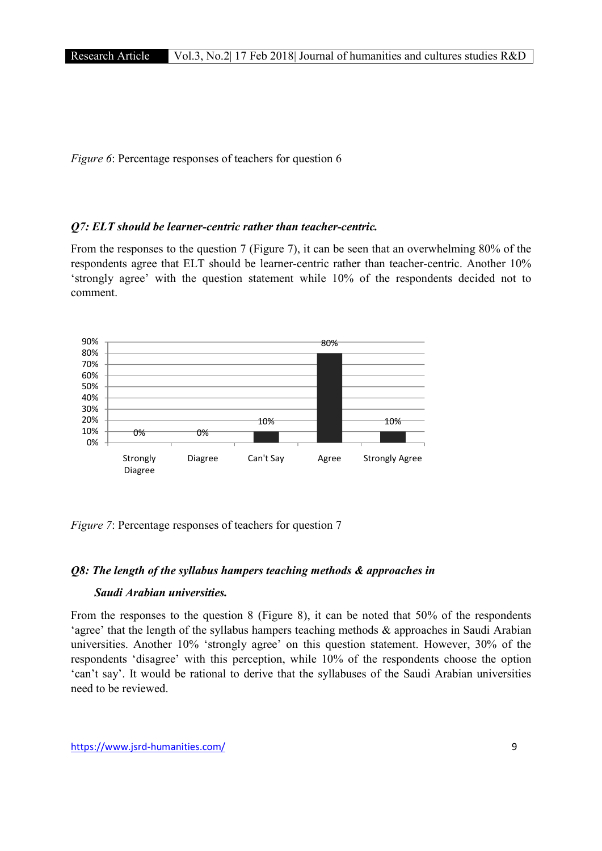*Figure 6*: Percentage responses of teachers for question 6

## *Q7: ELT should be learner-centric rather than teacher-centric.*

From the responses to the question 7 (Figure 7), it can be seen that an overwhelming 80% of the respondents agree that ELT should be learner-centric rather than teacher-centric. Another 10% 'strongly agree' with the question statement while 10% of the respondents decided not to comment.



*Figure 7*: Percentage responses of teachers for question 7

# *Q8: The length of the syllabus hampers teaching methods & approaches in*

# *Saudi Arabian universities.*

From the responses to the question 8 (Figure 8), it can be noted that 50% of the respondents 'agree' that the length of the syllabus hampers teaching methods & approaches in Saudi Arabian universities. Another 10% 'strongly agree' on this question statement. However, 30% of the respondents 'disagree' with this perception, while 10% of the respondents choose the option 'can't say'. It would be rational to derive that the syllabuses of the Saudi Arabian universities need to be reviewed.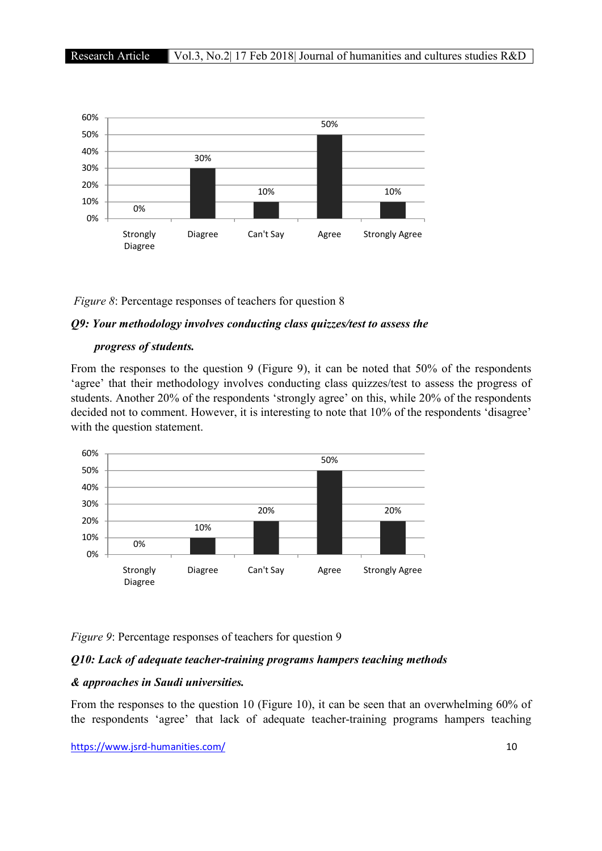

#### *Figure 8*: Percentage responses of teachers for question 8

#### *Q9: Your methodology involves conducting class quizzes/test to assess the*

#### *progress of students.*

From the responses to the question 9 (Figure 9), it can be noted that 50% of the respondents 'agree' that their methodology involves conducting class quizzes/test to assess the progress of students. Another 20% of the respondents 'strongly agree' on this, while 20% of the respondents decided not to comment. However, it is interesting to note that 10% of the respondents 'disagree' with the question statement.



*Figure 9*: Percentage responses of teachers for question 9

#### *Q10: Lack of adequate teacher-training programs hampers teaching methods*

#### *& approaches in Saudi universities.*

From the responses to the question 10 (Figure 10), it can be seen that an overwhelming 60% of the respondents 'agree' that lack of adequate teacher-training programs hampers teaching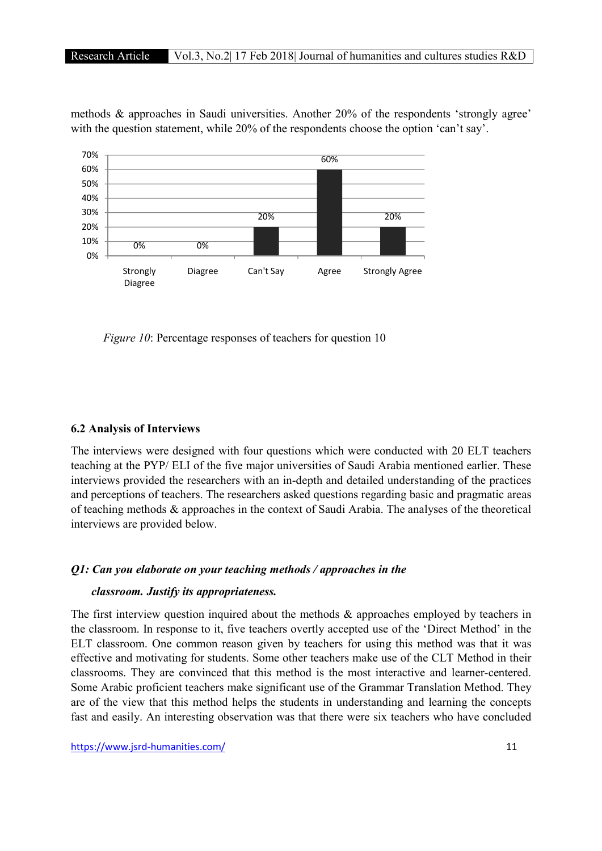methods & approaches in Saudi universities. Another 20% of the respondents 'strongly agree' with the question statement, while 20% of the respondents choose the option 'can't say'.



*Figure 10:* Percentage responses of teachers for question 10

# 6.2 Analysis of Interviews

The interviews were designed with four questions which were conducted with 20 ELT teachers teaching at the PYP/ ELI of the five major universities of Saudi Arabia mentioned earlier. These interviews provided the researchers with an in-depth and detailed understanding of the practices and perceptions of teachers. The researchers asked questions regarding basic and pragmatic areas of teaching methods & approaches in the context of Saudi Arabia. The analyses of the theoretical interviews are provided below.

#### *Q1: Can you elaborate on your teaching methods / approaches in the*

#### *classroom. Justify its appropriateness.*

The first interview question inquired about the methods & approaches employed by teachers in the classroom. In response to it, five teachers overtly accepted use of the 'Direct Method' in the ELT classroom. One common reason given by teachers for using this method was that it was effective and motivating for students. Some other teachers make use of the CLT Method in their classrooms. They are convinced that this method is the most interactive and learner-centered. Some Arabic proficient teachers make significant use of the Grammar Translation Method. They are of the view that this method helps the students in understanding and learning the concepts fast and easily. An interesting observation was that there were six teachers who have concluded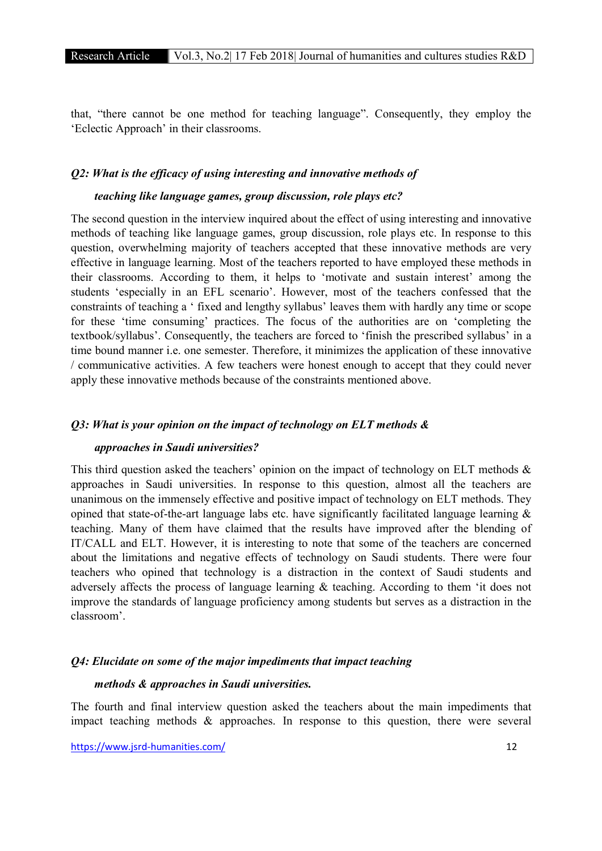that, "there cannot be one method for teaching language". Consequently, they employ the 'Eclectic Approach' in their classrooms.

### *Q2: What is the efficacy of using interesting and innovative methods of*

#### *teaching like language games, group discussion, role plays etc?*

The second question in the interview inquired about the effect of using interesting and innovative methods of teaching like language games, group discussion, role plays etc. In response to this question, overwhelming majority of teachers accepted that these innovative methods are very effective in language learning. Most of the teachers reported to have employed these methods in their classrooms. According to them, it helps to 'motivate and sustain interest' among the students 'especially in an EFL scenario'. However, most of the teachers confessed that the constraints of teaching a ' fixed and lengthy syllabus' leaves them with hardly any time or scope for these 'time consuming' practices. The focus of the authorities are on 'completing the textbook/syllabus'. Consequently, the teachers are forced to 'finish the prescribed syllabus' in a time bound manner i.e. one semester. Therefore, it minimizes the application of these innovative / communicative activities. A few teachers were honest enough to accept that they could never apply these innovative methods because of the constraints mentioned above.

## *Q3: What is your opinion on the impact of technology on ELT methods &*

#### *approaches in Saudi universities?*

This third question asked the teachers' opinion on the impact of technology on ELT methods  $\&$ approaches in Saudi universities. In response to this question, almost all the teachers are unanimous on the immensely effective and positive impact of technology on ELT methods. They opined that state-of-the-art language labs etc. have significantly facilitated language learning & teaching. Many of them have claimed that the results have improved after the blending of IT/CALL and ELT. However, it is interesting to note that some of the teachers are concerned about the limitations and negative effects of technology on Saudi students. There were four teachers who opined that technology is a distraction in the context of Saudi students and adversely affects the process of language learning & teaching. According to them 'it does not improve the standards of language proficiency among students but serves as a distraction in the classroom'.

#### *Q4: Elucidate on some of the major impediments that impact teaching*

#### *methods & approaches in Saudi universities.*

The fourth and final interview question asked the teachers about the main impediments that impact teaching methods & approaches. In response to this question, there were several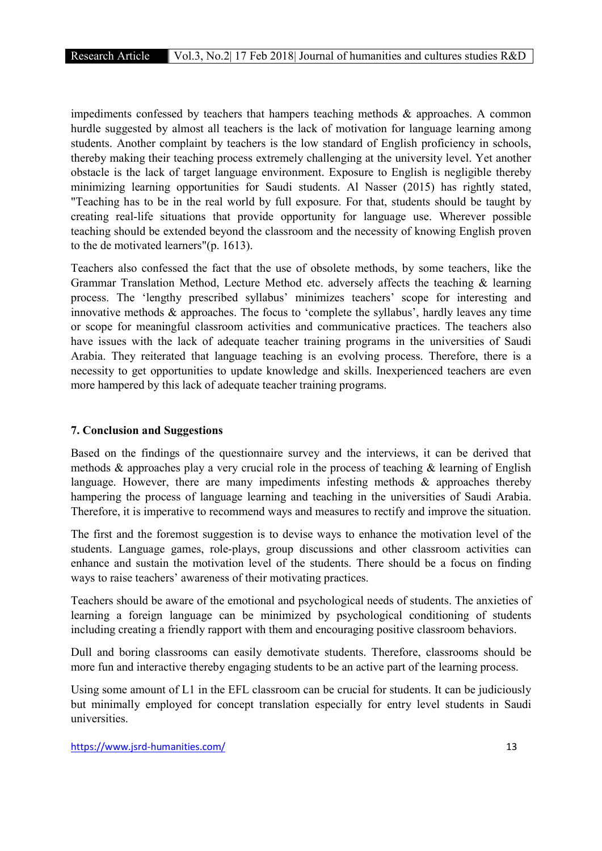impediments confessed by teachers that hampers teaching methods & approaches. A common hurdle suggested by almost all teachers is the lack of motivation for language learning among students. Another complaint by teachers is the low standard of English proficiency in schools, thereby making their teaching process extremely challenging at the university level. Yet another obstacle is the lack of target language environment. Exposure to English is negligible thereby minimizing learning opportunities for Saudi students. Al Nasser (2015) has rightly stated, "Teaching has to be in the real world by full exposure. For that, students should be taught by creating real-life situations that provide opportunity for language use. Wherever possible teaching should be extended beyond the classroom and the necessity of knowing English proven to the de motivated learners"(p. 1613).

Teachers also confessed the fact that the use of obsolete methods, by some teachers, like the Grammar Translation Method, Lecture Method etc. adversely affects the teaching & learning process. The 'lengthy prescribed syllabus' minimizes teachers' scope for interesting and innovative methods  $\&$  approaches. The focus to 'complete the syllabus', hardly leaves any time or scope for meaningful classroom activities and communicative practices. The teachers also have issues with the lack of adequate teacher training programs in the universities of Saudi Arabia. They reiterated that language teaching is an evolving process. Therefore, there is a necessity to get opportunities to update knowledge and skills. Inexperienced teachers are even more hampered by this lack of adequate teacher training programs.

# 7. Conclusion and Suggestions

Based on the findings of the questionnaire survey and the interviews, it can be derived that methods & approaches play a very crucial role in the process of teaching & learning of English language. However, there are many impediments infesting methods & approaches thereby hampering the process of language learning and teaching in the universities of Saudi Arabia. Therefore, it is imperative to recommend ways and measures to rectify and improve the situation.

The first and the foremost suggestion is to devise ways to enhance the motivation level of the students. Language games, role-plays, group discussions and other classroom activities can enhance and sustain the motivation level of the students. There should be a focus on finding ways to raise teachers' awareness of their motivating practices.

Teachers should be aware of the emotional and psychological needs of students. The anxieties of learning a foreign language can be minimized by psychological conditioning of students including creating a friendly rapport with them and encouraging positive classroom behaviors.

Dull and boring classrooms can easily demotivate students. Therefore, classrooms should be more fun and interactive thereby engaging students to be an active part of the learning process.

Using some amount of L1 in the EFL classroom can be crucial for students. It can be judiciously but minimally employed for concept translation especially for entry level students in Saudi universities.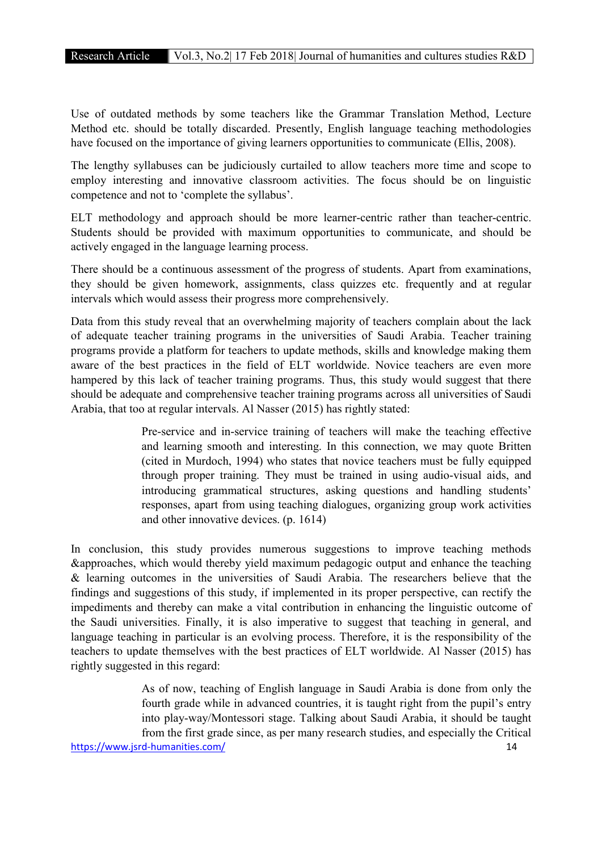Use of outdated methods by some teachers like the Grammar Translation Method, Lecture Method etc. should be totally discarded. Presently, English language teaching methodologies have focused on the importance of giving learners opportunities to communicate (Ellis, 2008).

The lengthy syllabuses can be judiciously curtailed to allow teachers more time and scope to employ interesting and innovative classroom activities. The focus should be on linguistic competence and not to 'complete the syllabus'.

ELT methodology and approach should be more learner-centric rather than teacher-centric. Students should be provided with maximum opportunities to communicate, and should be actively engaged in the language learning process.

There should be a continuous assessment of the progress of students. Apart from examinations, they should be given homework, assignments, class quizzes etc. frequently and at regular intervals which would assess their progress more comprehensively.

Data from this study reveal that an overwhelming majority of teachers complain about the lack of adequate teacher training programs in the universities of Saudi Arabia. Teacher training programs provide a platform for teachers to update methods, skills and knowledge making them aware of the best practices in the field of ELT worldwide. Novice teachers are even more hampered by this lack of teacher training programs. Thus, this study would suggest that there should be adequate and comprehensive teacher training programs across all universities of Saudi Arabia, that too at regular intervals. Al Nasser (2015) has rightly stated:

> Pre-service and in-service training of teachers will make the teaching effective and learning smooth and interesting. In this connection, we may quote Britten (cited in Murdoch, 1994) who states that novice teachers must be fully equipped through proper training. They must be trained in using audio-visual aids, and introducing grammatical structures, asking questions and handling students' responses, apart from using teaching dialogues, organizing group work activities and other innovative devices. (p. 1614)

In conclusion, this study provides numerous suggestions to improve teaching methods &approaches, which would thereby yield maximum pedagogic output and enhance the teaching & learning outcomes in the universities of Saudi Arabia. The researchers believe that the findings and suggestions of this study, if implemented in its proper perspective, can rectify the impediments and thereby can make a vital contribution in enhancing the linguistic outcome of the Saudi universities. Finally, it is also imperative to suggest that teaching in general, and language teaching in particular is an evolving process. Therefore, it is the responsibility of the teachers to update themselves with the best practices of ELT worldwide. Al Nasser (2015) has rightly suggested in this regard:

https://www.jsrd-humanities.com/ 14 As of now, teaching of English language in Saudi Arabia is done from only the fourth grade while in advanced countries, it is taught right from the pupil's entry into play-way/Montessori stage. Talking about Saudi Arabia, it should be taught from the first grade since, as per many research studies, and especially the Critical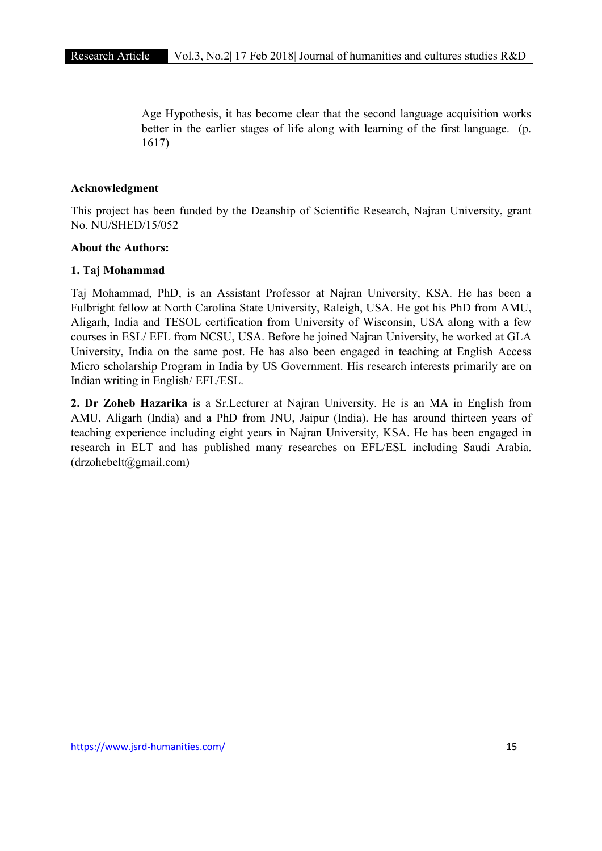Age Hypothesis, it has become clear that the second language acquisition works better in the earlier stages of life along with learning of the first language. (p. 1617)

# Acknowledgment

This project has been funded by the Deanship of Scientific Research, Najran University, grant No. NU/SHED/15/052

# About the Authors:

# 1. Taj Mohammad

Taj Mohammad, PhD, is an Assistant Professor at Najran University, KSA. He has been a Fulbright fellow at North Carolina State University, Raleigh, USA. He got his PhD from AMU, Aligarh, India and TESOL certification from University of Wisconsin, USA along with a few courses in ESL/ EFL from NCSU, USA. Before he joined Najran University, he worked at GLA University, India on the same post. He has also been engaged in teaching at English Access Micro scholarship Program in India by US Government. His research interests primarily are on Indian writing in English/ EFL/ESL.

2. Dr Zoheb Hazarika is a Sr.Lecturer at Najran University. He is an MA in English from AMU, Aligarh (India) and a PhD from JNU, Jaipur (India). He has around thirteen years of teaching experience including eight years in Najran University, KSA. He has been engaged in research in ELT and has published many researches on EFL/ESL including Saudi Arabia.  $(drzohebelt@gmail.com)$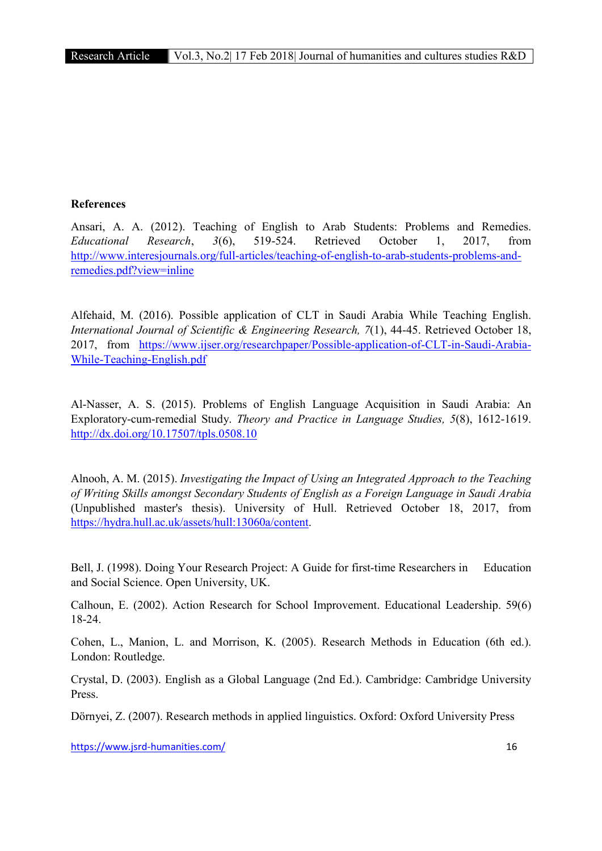# References

Ansari, A. A. (2012). Teaching of English to Arab Students: Problems and Remedies. *Educational Research*, *3*(6), 519-524. Retrieved October 1, 2017, from http://www.interesjournals.org/full-articles/teaching-of-english-to-arab-students-problems-andremedies.pdf?view=inline

Alfehaid, M. (2016). Possible application of CLT in Saudi Arabia While Teaching English. *International Journal of Scientific & Engineering Research, 7*(1), 44-45. Retrieved October 18, 2017, from https://www.ijser.org/researchpaper/Possible-application-of-CLT-in-Saudi-Arabia-While-Teaching-English.pdf

Al-Nasser, A. S. (2015). Problems of English Language Acquisition in Saudi Arabia: An Exploratory-cum-remedial Study. *Theory and Practice in Language Studies, 5*(8), 1612-1619. http://dx.doi.org/10.17507/tpls.0508.10

Alnooh, A. M. (2015). *Investigating the Impact of Using an Integrated Approach to the Teaching of Writing Skills amongst Secondary Students of English as a Foreign Language in Saudi Arabia* (Unpublished master's thesis). University of Hull. Retrieved October 18, 2017, from https://hydra.hull.ac.uk/assets/hull:13060a/content.

Bell, J. (1998). Doing Your Research Project: A Guide for first-time Researchers in Education and Social Science. Open University, UK.

Calhoun, E. (2002). Action Research for School Improvement. Educational Leadership. 59(6) 18-24.

Cohen, L., Manion, L. and Morrison, K. (2005). Research Methods in Education (6th ed.). London: Routledge.

Crystal, D. (2003). English as a Global Language (2nd Ed.). Cambridge: Cambridge University Press.

Dörnyei, Z. (2007). Research methods in applied linguistics. Oxford: Oxford University Press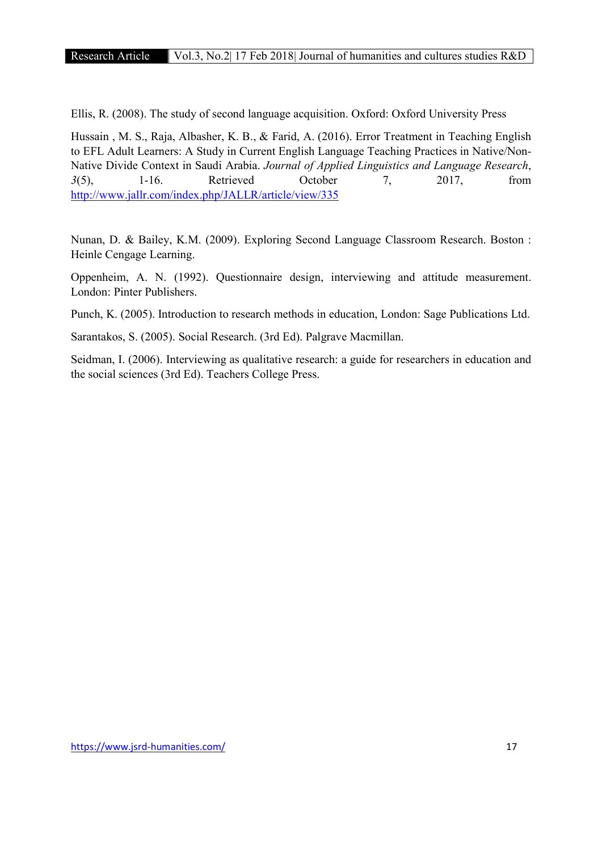Ellis, R. (2008). The study of second language acquisition. Oxford: Oxford University Press

Hussain , M. S., Raja, Albasher, K. B., & Farid, A. (2016). Error Treatment in Teaching English to EFL Adult Learners: A Study in Current English Language Teaching Practices in Native/Non-Native Divide Context in Saudi Arabia. *Journal of Applied Linguistics and Language Research*, *3*(5), 1-16. Retrieved October 7, 2017, from http://www.jallr.com/index.php/JALLR/article/view/335

Nunan, D. & Bailey, K.M. (2009). Exploring Second Language Classroom Research. Boston : Heinle Cengage Learning.

Oppenheim, A. N. (1992). Questionnaire design, interviewing and attitude measurement. London: Pinter Publishers.

Punch, K. (2005). Introduction to research methods in education, London: Sage Publications Ltd.

Sarantakos, S. (2005). Social Research. (3rd Ed). Palgrave Macmillan.

Seidman, I. (2006). Interviewing as qualitative research: a guide for researchers in education and the social sciences (3rd Ed). Teachers College Press.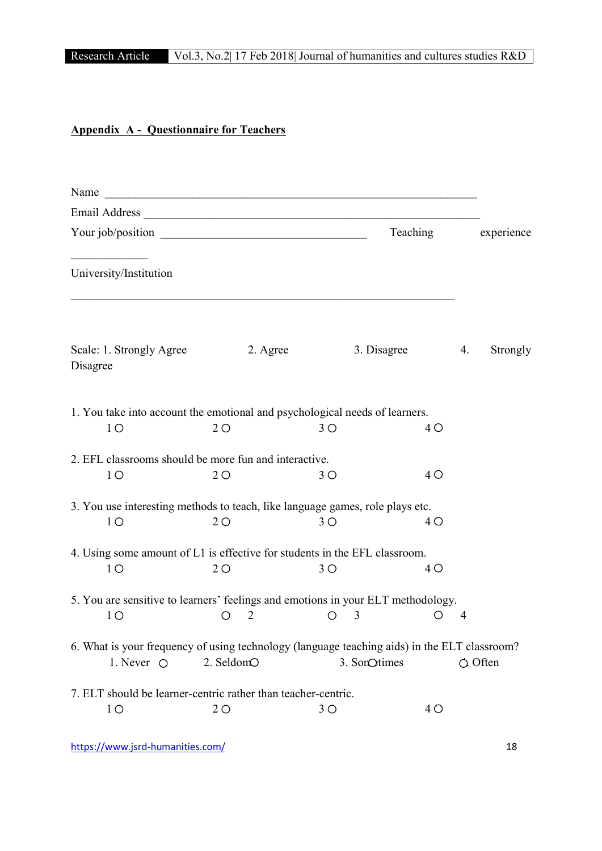# Research Article Vol.3, No.2| 17 Feb 2018| Journal of humanities and cultures studies R&D

# Appendix A - Questionnaire for Teachers

| Name                                                                                                                | <u> 2008 - Jan Barnett, mars ann an t-Amhain ann an t-Amhain an t-Amhain ann an t-Amhain an t-Amhain ann an t-Amh</u> |              |          |                  |
|---------------------------------------------------------------------------------------------------------------------|-----------------------------------------------------------------------------------------------------------------------|--------------|----------|------------------|
|                                                                                                                     |                                                                                                                       |              |          |                  |
|                                                                                                                     |                                                                                                                       |              | Teaching | experience       |
| University/Institution                                                                                              |                                                                                                                       |              |          |                  |
| Scale: 1. Strongly Agree<br>Disagree                                                                                | 2. Agree                                                                                                              | 3. Disagree  |          | 4.<br>Strongly   |
| 1. You take into account the emotional and psychological needs of learners.<br>1 <sup>O</sup>                       | 2O                                                                                                                    | 3O           | $4\circ$ |                  |
| 2. EFL classrooms should be more fun and interactive.<br>1 <sup>O</sup>                                             | 2O                                                                                                                    | 3O           | $4\circ$ |                  |
| 3. You use interesting methods to teach, like language games, role plays etc.<br>1 <sup>O</sup>                     | 2O                                                                                                                    | 3O           | 4 O      |                  |
| 4. Using some amount of L1 is effective for students in the EFL classroom.<br>1 <sup>O</sup>                        | 2O                                                                                                                    | 3O           | $4\circ$ |                  |
| 5. You are sensitive to learners' feelings and emotions in your ELT methodology.<br>1 <sup>O</sup>                  | $\overline{2}$                                                                                                        | 3            |          | $\overline{4}$   |
| 6. What is your frequency of using technology (language teaching aids) in the ELT classroom?<br>1. Never $\bigcirc$ | 2. SeldomO                                                                                                            | 3. SonQtimes |          | $\bigcirc$ Often |
| 7. ELT should be learner-centric rather than teacher-centric.<br>1 <sup>O</sup>                                     | 2O                                                                                                                    | $3^{\circ}$  | 4 O      |                  |